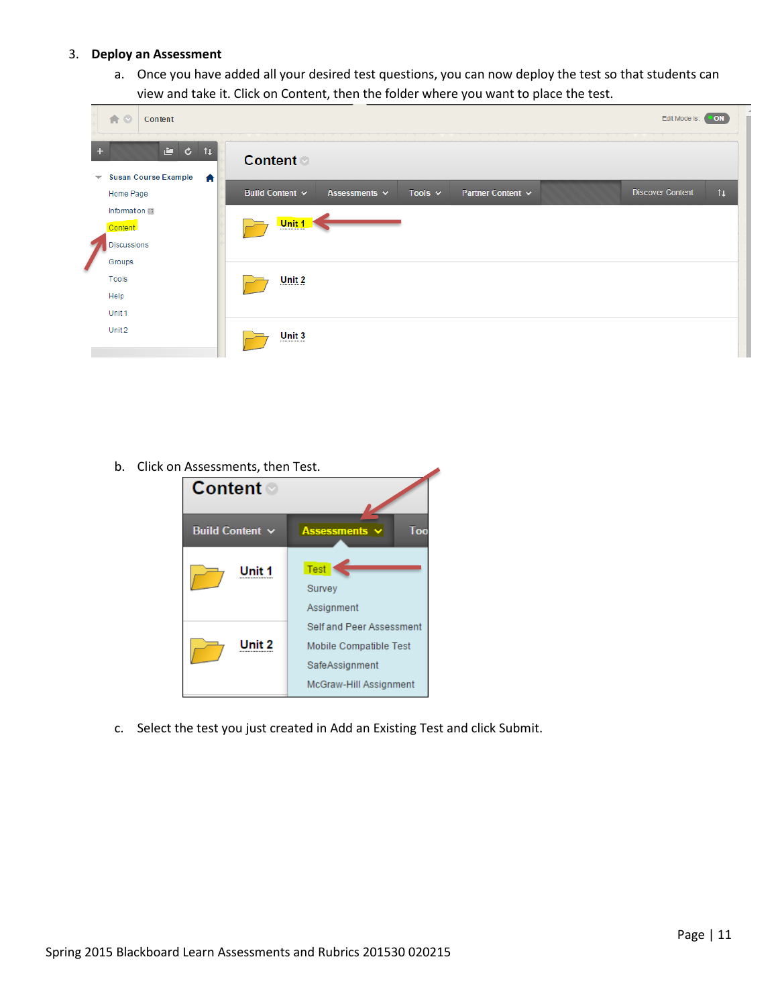## 3. **Deploy an Assessment**

a. Once you have added all your desired test questions, you can now deploy the test so that students can view and take it. Click on Content, then the folder where you want to place the test.

|                          | 合口<br>Content                            |                                                                                                                 |                |  |  |  |  |
|--------------------------|------------------------------------------|-----------------------------------------------------------------------------------------------------------------|----------------|--|--|--|--|
| ÷                        | $\mathbf{c}$ $\mathbf{t}$                | <b>Content</b>                                                                                                  |                |  |  |  |  |
| $\overline{\phantom{a}}$ | <b>Susan Course Example</b><br>Home Page | 合<br><b>Discover Content</b><br>Tools $\sim$<br>Partner Content ~<br>Build Content $\sim$<br>Assessments $\vee$ | $\mathfrak{t}$ |  |  |  |  |
| Z                        | Information <b>ED</b><br>Content         | Unit 1                                                                                                          |                |  |  |  |  |
|                          | <b>Discussions</b><br>Groups             |                                                                                                                 |                |  |  |  |  |
|                          | Tools                                    | Unit 2                                                                                                          |                |  |  |  |  |
|                          | Help<br>Unit 1                           |                                                                                                                 |                |  |  |  |  |
|                          | Unit 2                                   | Unit 3                                                                                                          |                |  |  |  |  |

b. Click on Assessments, then Test.



c. Select the test you just created in Add an Existing Test and click Submit.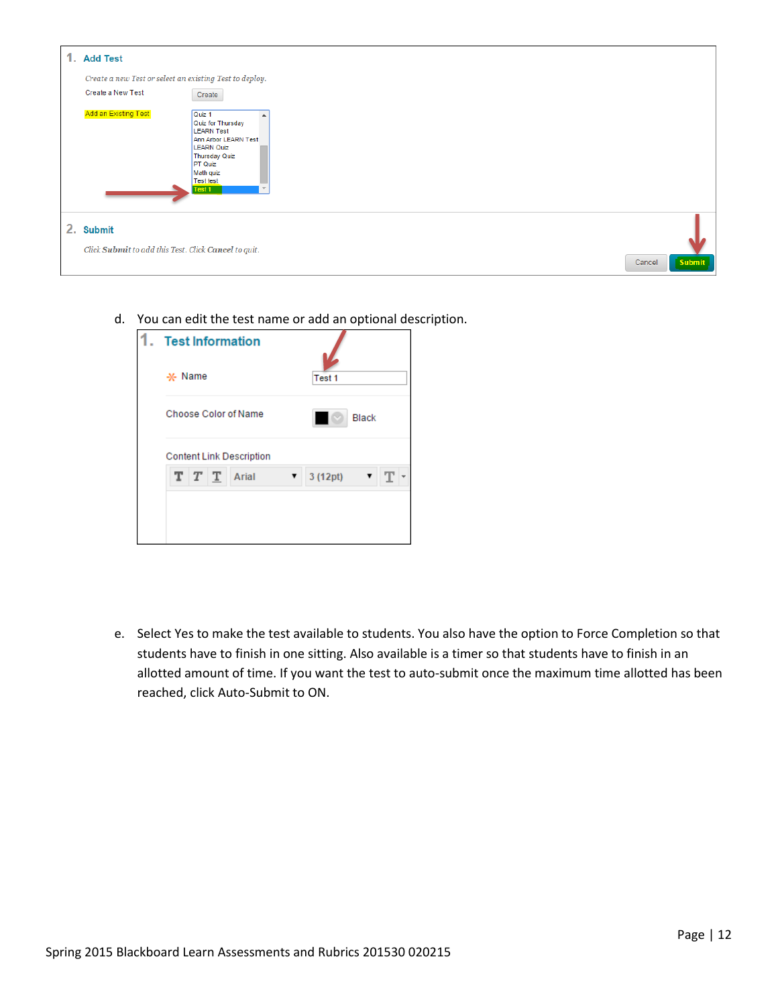

d. You can edit the test name or add an optional description.

| . Test Information              |               |  |  |
|---------------------------------|---------------|--|--|
| -x- Name                        | Test 1        |  |  |
| Choose Color of Name            | <b>Black</b>  |  |  |
| <b>Content Link Description</b> |               |  |  |
| T T T<br>Arial                  | 3 (12pt)<br>▼ |  |  |

e. Select Yes to make the test available to students. You also have the option to Force Completion so that students have to finish in one sitting. Also available is a timer so that students have to finish in an allotted amount of time. If you want the test to auto-submit once the maximum time allotted has been reached, click Auto-Submit to ON.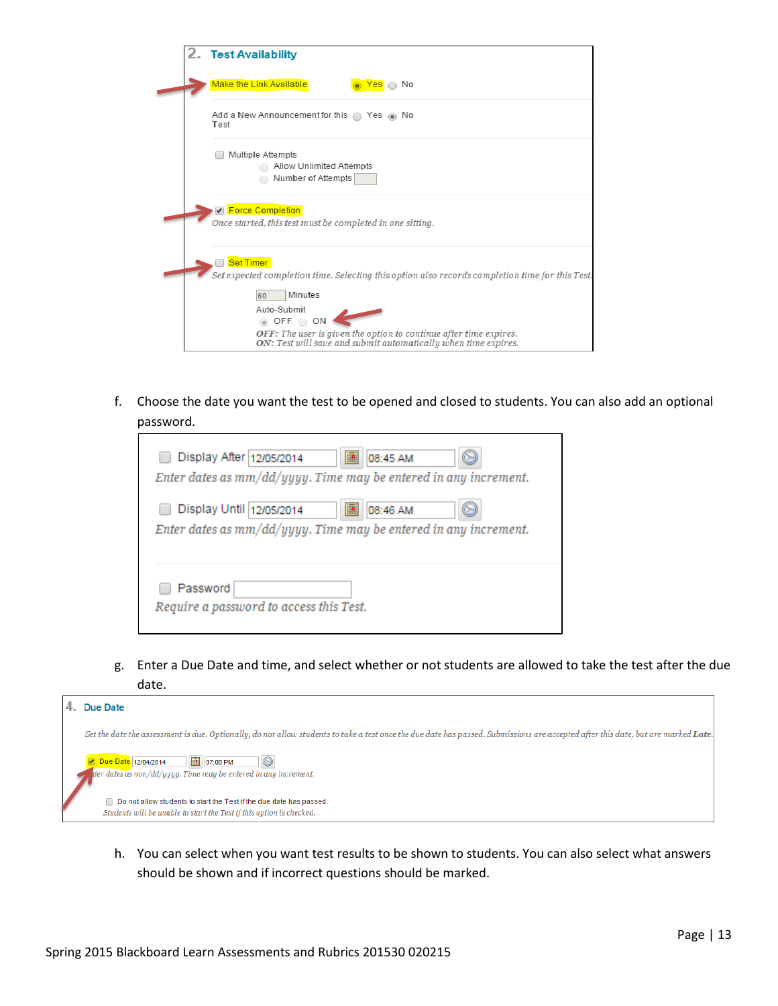| 2. Test Availability                                                                                                                                                                                        |
|-------------------------------------------------------------------------------------------------------------------------------------------------------------------------------------------------------------|
| <b>Make the Link Available</b><br><mark>Yes</mark> ∩ No                                                                                                                                                     |
| Add a New Announcement for this $\bigcirc$ Yes $\circledast$ No<br>Test                                                                                                                                     |
| Multiple Attempts<br>Allow Unlimited Attempts<br>Number of Attempts                                                                                                                                         |
| <b>Ø</b> Force Completion<br>Once started, this test must be completed in one sitting.                                                                                                                      |
| <b>Set Timer</b><br>Set expected completion time. Selecting this option also records completion time for this Test.                                                                                         |
| Minutes<br>60<br>Auto-Submit<br>$\circledcirc$ OFF $\circledcirc$ ON<br>OFF: The user is given the option to continue after time expires.<br>ON: Test will save and submit automatically when time expires. |

f. Choose the date you want the test to be opened and closed to students. You can also add an optional password.

| 匾<br>Display After 12/05/2014<br>08:45 AM<br>Enter dates as $mm/dd/yyyy$ . Time may be entered in any increment. |  |  |  |  |  |  |
|------------------------------------------------------------------------------------------------------------------|--|--|--|--|--|--|
| 匾<br>Display Until 12/05/2014<br>08:46 AM<br>Enter dates as $mm/dd/yyyy$ . Time may be entered in any increment. |  |  |  |  |  |  |
| Password<br>Require a password to access this Test.                                                              |  |  |  |  |  |  |

g. Enter a Due Date and time, and select whether or not students are allowed to take the test after the due date.



h. You can select when you want test results to be shown to students. You can also select what answers should be shown and if incorrect questions should be marked.